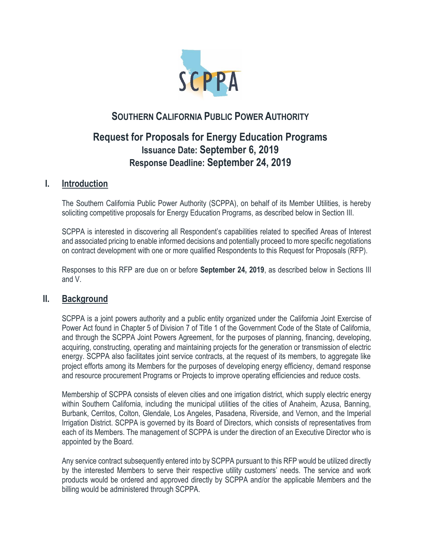

# **SOUTHERN CALIFORNIA PUBLIC POWER AUTHORITY**

# **Request for Proposals for Energy Education Programs Issuance Date: September 6, 2019 Response Deadline: September 24, 2019**

### **I. Introduction**

The Southern California Public Power Authority (SCPPA), on behalf of its Member Utilities, is hereby soliciting competitive proposals for Energy Education Programs, as described below in Section III.

SCPPA is interested in discovering all Respondent's capabilities related to specified Areas of Interest and associated pricing to enable informed decisions and potentially proceed to more specific negotiations on contract development with one or more qualified Respondents to this Request for Proposals (RFP).

Responses to this RFP are due on or before **September 24, 2019**, as described below in Sections III and V.

### **II. Background**

SCPPA is a joint powers authority and a public entity organized under the California Joint Exercise of Power Act found in Chapter 5 of Division 7 of Title 1 of the Government Code of the State of California, and through the SCPPA Joint Powers Agreement, for the purposes of planning, financing, developing, acquiring, constructing, operating and maintaining projects for the generation or transmission of electric energy. SCPPA also facilitates joint service contracts, at the request of its members, to aggregate like project efforts among its Members for the purposes of developing energy efficiency, demand response and resource procurement Programs or Projects to improve operating efficiencies and reduce costs.

Membership of SCPPA consists of eleven cities and one irrigation district, which supply electric energy within Southern California, including the municipal utilities of the cities of Anaheim, Azusa, Banning, Burbank, Cerritos, Colton, Glendale, Los Angeles, Pasadena, Riverside, and Vernon, and the Imperial Irrigation District. SCPPA is governed by its Board of Directors, which consists of representatives from each of its Members. The management of SCPPA is under the direction of an Executive Director who is appointed by the Board.

Any service contract subsequently entered into by SCPPA pursuant to this RFP would be utilized directly by the interested Members to serve their respective utility customers' needs. The service and work products would be ordered and approved directly by SCPPA and/or the applicable Members and the billing would be administered through SCPPA.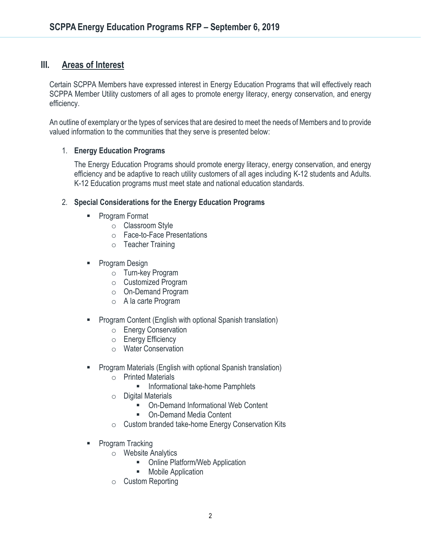## **III. Areas of Interest**

Certain SCPPA Members have expressed interest in Energy Education Programs that will effectively reach SCPPA Member Utility customers of all ages to promote energy literacy, energy conservation, and energy efficiency.

An outline of exemplary or the types of services that are desired to meet the needs of Members and to provide valued information to the communities that they serve is presented below:

### 1. **Energy Education Programs**

The Energy Education Programs should promote energy literacy, energy conservation, and energy efficiency and be adaptive to reach utility customers of all ages including K-12 students and Adults. K-12 Education programs must meet state and national education standards.

### 2. **Special Considerations for the Energy Education Programs**

- Program Format
	- o Classroom Style
	- o Face-to-Face Presentations
	- o Teacher Training
- Program Design
	- o Turn-key Program
	- o Customized Program
	- o On-Demand Program
	- o A la carte Program
- Program Content (English with optional Spanish translation)
	- o Energy Conservation
	- o Energy Efficiency
	- o Water Conservation
- Program Materials (English with optional Spanish translation)
	- o Printed Materials
		- Informational take-home Pamphlets
	- o Digital Materials
		- On-Demand Informational Web Content
		- On-Demand Media Content
	- o Custom branded take-home Energy Conservation Kits
- Program Tracking
	- o Website Analytics
		- Online Platform/Web Application
		- Mobile Application
	- o Custom Reporting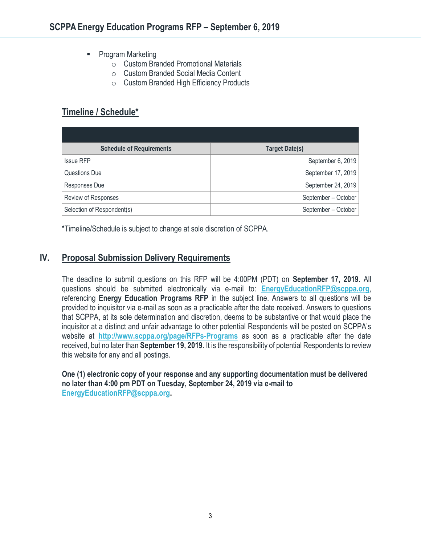- Program Marketing
	- o Custom Branded Promotional Materials
	- o Custom Branded Social Media Content
	- o Custom Branded High Efficiency Products

## **Timeline / Schedule\***

| <b>Schedule of Requirements</b> | <b>Target Date(s)</b> |
|---------------------------------|-----------------------|
| <b>Issue RFP</b>                | September 6, 2019     |
| Questions Due                   | September 17, 2019    |
| Responses Due                   | September 24, 2019    |
| Review of Responses             | September - October   |
| Selection of Respondent(s)      | September - October   |

\*Timeline/Schedule is subject to change at sole discretion of SCPPA.

## **IV. Proposal Submission Delivery Requirements**

The deadline to submit questions on this RFP will be 4:00PM (PDT) on **September 17, 2019**. All questions should be submitted electronically via e-mail to: **[EnergyEducationRFP@scppa.org](mailto:EnergyEducationRFP@scppa.org)**, referencing **Energy Education Programs RFP** in the subject line. Answers to all questions will be provided to inquisitor via e-mail as soon as a practicable after the date received. Answers to questions that SCPPA, at its sole determination and discretion, deems to be substantive or that would place the inquisitor at a distinct and unfair advantage to other potential Respondents will be posted on SCPPA's website at **<http://www.scppa.org/page/RFPs-Programs>** as soon as a practicable after the date received, but no later than **September 19, 2019**. It is the responsibility of potential Respondents to review this website for any and all postings.

**One (1) electronic copy of your response and any supporting documentation must be delivered no later than 4:00 pm PDT on Tuesday, September 24, 2019 via e-mail to [EnergyEducationRFP@scppa.org.](mailto:EnergyEducationRFP@scppa.org)**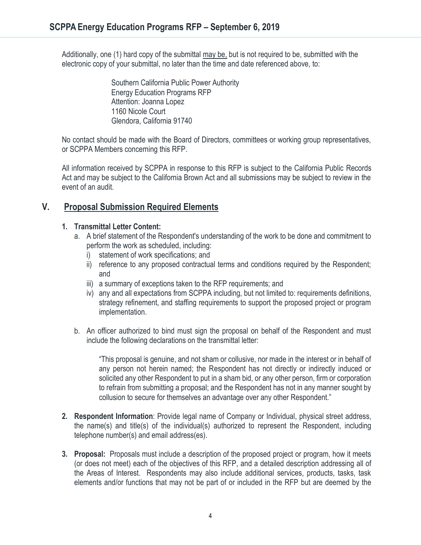Additionally, one (1) hard copy of the submittal may be, but is not required to be, submitted with the electronic copy of your submittal, no later than the time and date referenced above, to:

> Southern California Public Power Authority Energy Education Programs RFP Attention: Joanna Lopez 1160 Nicole Court Glendora, California 91740

No contact should be made with the Board of Directors, committees or working group representatives, or SCPPA Members concerning this RFP.

All information received by SCPPA in response to this RFP is subject to the California Public Records Act and may be subject to the California Brown Act and all submissions may be subject to review in the event of an audit.

## **V. Proposal Submission Required Elements**

### **1. Transmittal Letter Content:**

- a. A brief statement of the Respondent's understanding of the work to be done and commitment to perform the work as scheduled, including:
	- i) statement of work specifications; and
	- ii) reference to any proposed contractual terms and conditions required by the Respondent; and
	- iii) a summary of exceptions taken to the RFP requirements; and
	- iv) any and all expectations from SCPPA including, but not limited to: requirements definitions, strategy refinement, and staffing requirements to support the proposed project or program implementation.
- b. An officer authorized to bind must sign the proposal on behalf of the Respondent and must include the following declarations on the transmittal letter:

"This proposal is genuine, and not sham or collusive, nor made in the interest or in behalf of any person not herein named; the Respondent has not directly or indirectly induced or solicited any other Respondent to put in a sham bid, or any other person, firm or corporation to refrain from submitting a proposal; and the Respondent has not in any manner sought by collusion to secure for themselves an advantage over any other Respondent."

- **2. Respondent Information**: Provide legal name of Company or Individual, physical street address, the name(s) and title(s) of the individual(s) authorized to represent the Respondent, including telephone number(s) and email address(es).
- **3. Proposal:** Proposals must include a description of the proposed project or program, how it meets (or does not meet) each of the objectives of this RFP, and a detailed description addressing all of the Areas of Interest. Respondents may also include additional services, products, tasks, task elements and/or functions that may not be part of or included in the RFP but are deemed by the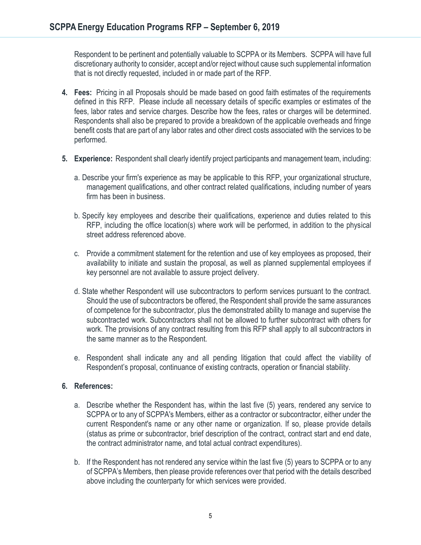Respondent to be pertinent and potentially valuable to SCPPA or its Members. SCPPA will have full discretionary authority to consider, accept and/or reject without cause such supplemental information that is not directly requested, included in or made part of the RFP.

- **4. Fees:** Pricing in all Proposals should be made based on good faith estimates of the requirements defined in this RFP. Please include all necessary details of specific examples or estimates of the fees, labor rates and service charges. Describe how the fees, rates or charges will be determined. Respondents shall also be prepared to provide a breakdown of the applicable overheads and fringe benefit costs that are part of any labor rates and other direct costs associated with the services to be performed.
- **5. Experience:** Respondent shall clearly identify project participants and management team, including:
	- a. Describe your firm's experience as may be applicable to this RFP, your organizational structure, management qualifications, and other contract related qualifications, including number of years firm has been in business.
	- b. Specify key employees and describe their qualifications, experience and duties related to this RFP, including the office location(s) where work will be performed, in addition to the physical street address referenced above.
	- c. Provide a commitment statement for the retention and use of key employees as proposed, their availability to initiate and sustain the proposal, as well as planned supplemental employees if key personnel are not available to assure project delivery.
	- d. State whether Respondent will use subcontractors to perform services pursuant to the contract. Should the use of subcontractors be offered, the Respondent shall provide the same assurances of competence for the subcontractor, plus the demonstrated ability to manage and supervise the subcontracted work. Subcontractors shall not be allowed to further subcontract with others for work. The provisions of any contract resulting from this RFP shall apply to all subcontractors in the same manner as to the Respondent.
	- e. Respondent shall indicate any and all pending litigation that could affect the viability of Respondent's proposal, continuance of existing contracts, operation or financial stability.

#### **6. References:**

- a. Describe whether the Respondent has, within the last five (5) years, rendered any service to SCPPA or to any of SCPPA's Members, either as a contractor or subcontractor, either under the current Respondent's name or any other name or organization. If so, please provide details (status as prime or subcontractor, brief description of the contract, contract start and end date, the contract administrator name, and total actual contract expenditures).
- b. If the Respondent has not rendered any service within the last five (5) years to SCPPA or to any of SCPPA's Members, then please provide references over that period with the details described above including the counterparty for which services were provided.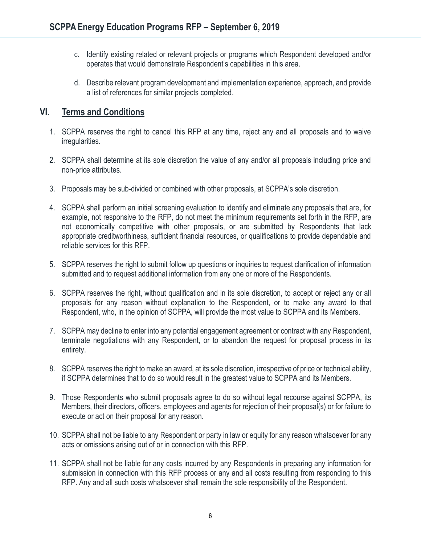- c. Identify existing related or relevant projects or programs which Respondent developed and/or operates that would demonstrate Respondent's capabilities in this area.
- d. Describe relevant program development and implementation experience, approach, and provide a list of references for similar projects completed.

## **VI. Terms and Conditions**

- 1. SCPPA reserves the right to cancel this RFP at any time, reject any and all proposals and to waive irregularities.
- 2. SCPPA shall determine at its sole discretion the value of any and/or all proposals including price and non-price attributes.
- 3. Proposals may be sub-divided or combined with other proposals, at SCPPA's sole discretion.
- 4. SCPPA shall perform an initial screening evaluation to identify and eliminate any proposals that are, for example, not responsive to the RFP, do not meet the minimum requirements set forth in the RFP, are not economically competitive with other proposals, or are submitted by Respondents that lack appropriate creditworthiness, sufficient financial resources, or qualifications to provide dependable and reliable services for this RFP.
- 5. SCPPA reserves the right to submit follow up questions or inquiries to request clarification of information submitted and to request additional information from any one or more of the Respondents.
- 6. SCPPA reserves the right, without qualification and in its sole discretion, to accept or reject any or all proposals for any reason without explanation to the Respondent, or to make any award to that Respondent, who, in the opinion of SCPPA, will provide the most value to SCPPA and its Members.
- 7. SCPPA may decline to enter into any potential engagement agreement or contract with any Respondent, terminate negotiations with any Respondent, or to abandon the request for proposal process in its entirety.
- 8. SCPPA reserves the right to make an award, at its sole discretion, irrespective of price or technical ability, if SCPPA determines that to do so would result in the greatest value to SCPPA and its Members.
- 9. Those Respondents who submit proposals agree to do so without legal recourse against SCPPA, its Members, their directors, officers, employees and agents for rejection of their proposal(s) or for failure to execute or act on their proposal for any reason.
- 10. SCPPA shall not be liable to any Respondent or party in law or equity for any reason whatsoever for any acts or omissions arising out of or in connection with this RFP.
- 11. SCPPA shall not be liable for any costs incurred by any Respondents in preparing any information for submission in connection with this RFP process or any and all costs resulting from responding to this RFP. Any and all such costs whatsoever shall remain the sole responsibility of the Respondent.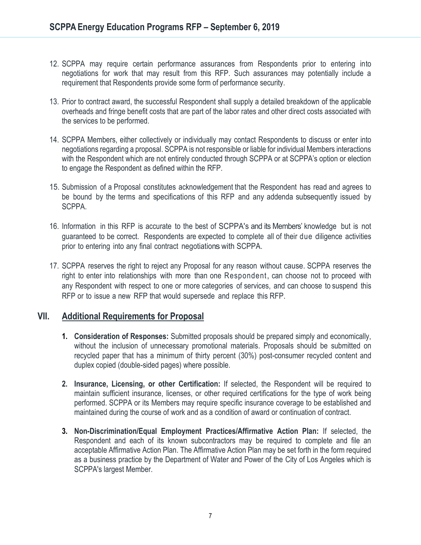- 12. SCPPA may require certain performance assurances from Respondents prior to entering into negotiations for work that may result from this RFP. Such assurances may potentially include a requirement that Respondents provide some form of performance security.
- 13. Prior to contract award, the successful Respondent shall supply a detailed breakdown of the applicable overheads and fringe benefit costs that are part of the labor rates and other direct costs associated with the services to be performed.
- 14. SCPPA Members, either collectively or individually may contact Respondents to discuss or enter into negotiations regarding a proposal. SCPPA is not responsible or liable for individual Members interactions with the Respondent which are not entirely conducted through SCPPA or at SCPPA's option or election to engage the Respondent as defined within the RFP.
- 15. Submission of a Proposal constitutes acknowledgement that the Respondent has read and agrees to be bound by the terms and specifications of this RFP and any addenda subsequently issued by SCPPA.
- 16. Information in this RFP is accurate to the best of SCPPA's and its Members' knowledge but is not guaranteed to be correct. Respondents are expected to complete all of their due diligence activities prior to entering into any final contract negotiations with SCPPA.
- 17. SCPPA reserves the right to reject any Proposal for any reason without cause. SCPPA reserves the right to enter into relationships with more than one Respondent, can choose not to proceed with any Respondent with respect to one or more categories of services, and can choose to suspend this RFP or to issue a new RFP that would supersede and replace this RFP.

## **VII. Additional Requirements for Proposal**

- **1. Consideration of Responses:** Submitted proposals should be prepared simply and economically, without the inclusion of unnecessary promotional materials. Proposals should be submitted on recycled paper that has a minimum of thirty percent (30%) post-consumer recycled content and duplex copied (double-sided pages) where possible.
- **2. Insurance, Licensing, or other Certification:** If selected, the Respondent will be required to maintain sufficient insurance, licenses, or other required certifications for the type of work being performed. SCPPA or its Members may require specific insurance coverage to be established and maintained during the course of work and as a condition of award or continuation of contract.
- **3. Non-Discrimination/Equal Employment Practices/Affirmative Action Plan:** If selected, the Respondent and each of its known subcontractors may be required to complete and file an acceptable Affirmative Action Plan. The Affirmative Action Plan may be set forth in the form required as a business practice by the Department of Water and Power of the City of Los Angeles which is SCPPA's largest Member.